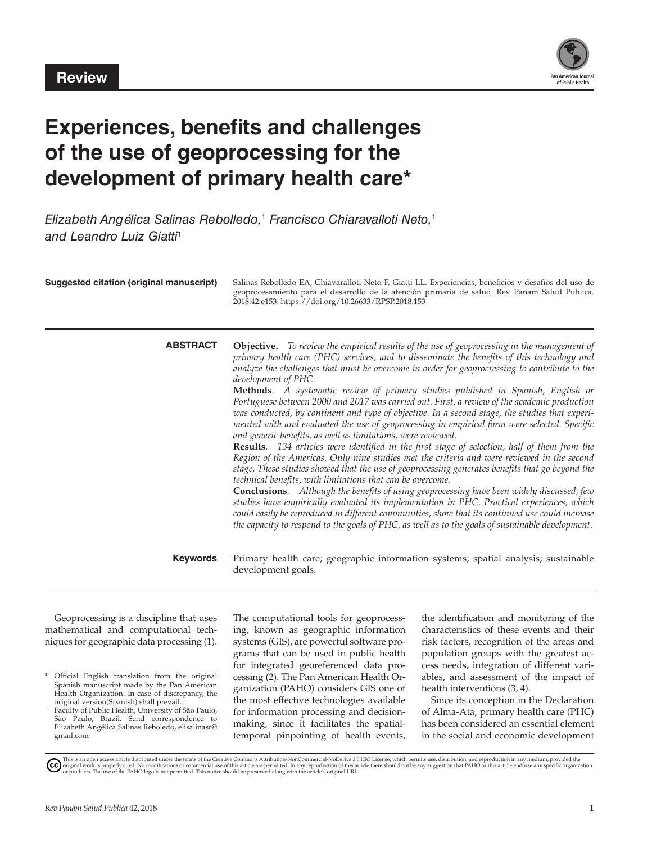

# **Experiences, benefits and challenges of the use of geoprocessing for the development of primary health care\***

*Elizabeth Angélica Salinas Rebolledo,*<sup>1</sup>  *Francisco Chiaravalloti Neto,*<sup>1</sup> *and Leandro Luiz Giatti*<sup>1</sup>

| <b>Suggested citation (original manuscript)</b> | Salinas Rebolledo EA, Chiavaralloti Neto F, Giatti LL. Experiencias, beneficios y desafíos del uso de<br>geoprocesamiento para el desarrollo de la atención primaria de salud. Rev Panam Salud Publica.<br>2018;42:e153. https://doi.org/10.26633/RPSP.2018.153                                                                                                                                                                                                                                                                                                                                                                                                                                                                                                                                                                                                                                                                                                                                                                                                                                                                                                                                                                                                                                                                                                                                                                                                                                                                                        |
|-------------------------------------------------|--------------------------------------------------------------------------------------------------------------------------------------------------------------------------------------------------------------------------------------------------------------------------------------------------------------------------------------------------------------------------------------------------------------------------------------------------------------------------------------------------------------------------------------------------------------------------------------------------------------------------------------------------------------------------------------------------------------------------------------------------------------------------------------------------------------------------------------------------------------------------------------------------------------------------------------------------------------------------------------------------------------------------------------------------------------------------------------------------------------------------------------------------------------------------------------------------------------------------------------------------------------------------------------------------------------------------------------------------------------------------------------------------------------------------------------------------------------------------------------------------------------------------------------------------------|
| <b>ABSTRACT</b>                                 | <b>Objective.</b> To review the empirical results of the use of geoprocessing in the management of<br>primary health care (PHC) services, and to disseminate the benefits of this technology and<br>analyze the challenges that must be overcome in order for geoprocressing to contribute to the<br>development of PHC.<br>Methods. A systematic review of primary studies published in Spanish, English or<br>Portuguese between 2000 and 2017 was carried out. First, a review of the academic production<br>was conducted, by continent and type of objective. In a second stage, the studies that experi-<br>mented with and evaluated the use of geoprocessing in empirical form were selected. Specific<br>and generic benefits, as well as limitations, were reviewed.<br>Results. 134 articles were identified in the first stage of selection, half of them from the<br>Region of the Americas. Only nine studies met the criteria and were reviewed in the second<br>stage. These studies showed that the use of geoprocessing generates benefits that go beyond the<br>technical benefits, with limitations that can be overcome.<br><b>Conclusions.</b> Although the benefits of using geoprocessing have been widely discussed, few<br>studies have empirically evaluated its implementation in PHC. Practical experiences, which<br>could easily be reproduced in different communities, show that its continued use could increase<br>the capacity to respond to the goals of PHC, as well as to the goals of sustainable development. |
| <b>Keywords</b>                                 | Primary health care; geographic information systems; spatial analysis; sustainable<br>development goals.                                                                                                                                                                                                                                                                                                                                                                                                                                                                                                                                                                                                                                                                                                                                                                                                                                                                                                                                                                                                                                                                                                                                                                                                                                                                                                                                                                                                                                               |

Geoprocessing is a discipline that uses mathematical and computational techniques for geographic data processing (1).

The computational tools for geoprocessing, known as geographic information systems (GIS), are powerful software programs that can be used in public health for integrated georeferenced data processing (2). The Pan American Health Organization (PAHO) considers GIS one of the most effective technologies available for information processing and decisionmaking, since it facilitates the spatialtemporal pinpointing of health events, the identification and monitoring of the characteristics of these events and their risk factors, recognition of the areas and population groups with the greatest access needs, integration of different variables, and assessment of the impact of health interventions (3, 4).

Since its conception in the Declaration of Alma-Ata, primary health care (PHC) has been considered an essential element in the social and economic development

Official English translation from the original Spanish manuscript made by the Pan American Health Organization. In case of discrepancy, the original version(Spanish) shall prevail.

Faculty of Public Health, University of São Paulo, São Paulo, Brazil. Send correspondence to Elizabeth Angélica Salinas Reboledo, [elisalinasr@](mailto:elisalinasr@gmail.com) [gmail.com](mailto:elisalinasr@gmail.com)

This is an open access article distributed under the terms of the Creative Commons Attribution-NonCommercial-NoDerivs 3.0 IGO License, which permits use, distribution, and reproduction in any medium, provided the<br>orignal w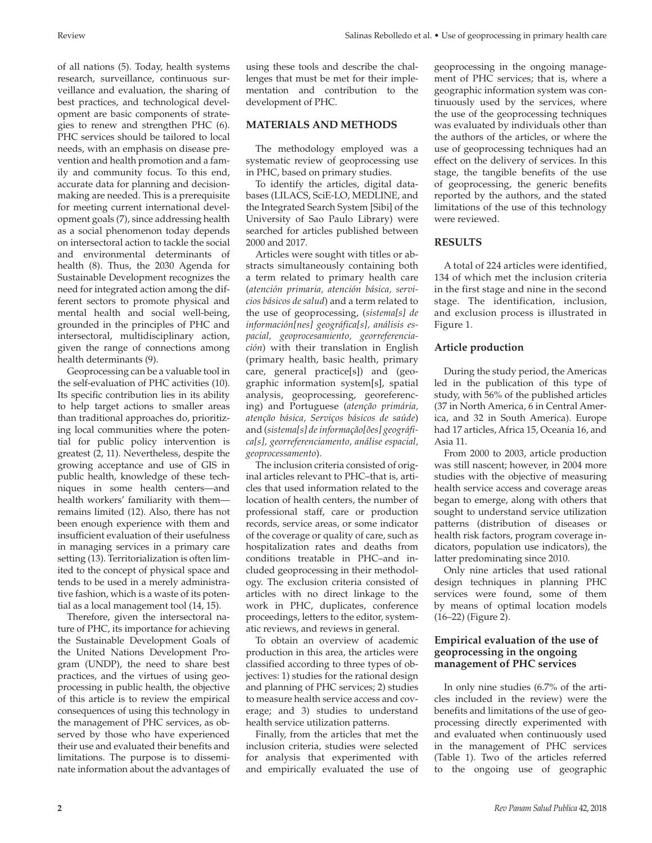of all nations (5). Today, health systems research, surveillance, continuous surveillance and evaluation, the sharing of best practices, and technological development are basic components of strategies to renew and strengthen PHC (6). PHC services should be tailored to local needs, with an emphasis on disease prevention and health promotion and a family and community focus. To this end, accurate data for planning and decisionmaking are needed. This is a prerequisite for meeting current international development goals (7), since addressing health as a social phenomenon today depends on intersectoral action to tackle the social and environmental determinants of health (8). Thus, the 2030 Agenda for Sustainable Development recognizes the need for integrated action among the different sectors to promote physical and mental health and social well-being, grounded in the principles of PHC and intersectoral, multidisciplinary action, given the range of connections among health determinants (9).

Geoprocessing can be a valuable tool in the self-evaluation of PHC activities (10). Its specific contribution lies in its ability to help target actions to smaller areas than traditional approaches do, prioritizing local communities where the potential for public policy intervention is greatest (2, 11). Nevertheless, despite the growing acceptance and use of GIS in public health, knowledge of these techniques in some health centers––and health workers' familiarity with them–– remains limited (12). Also, there has not been enough experience with them and insufficient evaluation of their usefulness in managing services in a primary care setting (13). Territorialization is often limited to the concept of physical space and tends to be used in a merely administrative fashion, which is a waste of its potential as a local management tool (14, 15).

Therefore, given the intersectoral nature of PHC, its importance for achieving the Sustainable Development Goals of the United Nations Development Program (UNDP), the need to share best practices, and the virtues of using geoprocessing in public health, the objective of this article is to review the empirical consequences of using this technology in the management of PHC services, as observed by those who have experienced their use and evaluated their benefits and limitations. The purpose is to disseminate information about the advantages of

### **MATERIALS AND METHODS**

The methodology employed was a systematic review of geoprocessing use in PHC, based on primary studies.

To identify the articles, digital databases (LILACS, SciE-LO, MEDLINE, and the Integrated Search System [Sibi] of the University of Sao Paulo Library) were searched for articles published between 2000 and 2017.

Articles were sought with titles or abstracts simultaneously containing both a term related to primary health care (*atención primaria, atención básica, servicios básicos de salud*) and a term related to the use of geoprocessing, (*sistema[s] de información[nes] geográfica[s], análisis espacial, geoprocesamiento, georreferenciación*) with their translation in English (primary health, basic health, primary care, general practice[s]) and (geographic information system[s], spatial analysis, geoprocessing, georeferencing) and Portuguese (*atenção primária, atenção básica, Serviços básicos de saúde*) and (*sistema[s] de informação[ões] geográfica[s], georreferenciamento, análise espacial, geoprocessamento*).

The inclusion criteria consisted of original articles relevant to PHC–that is, articles that used information related to the location of health centers, the number of professional staff, care or production records, service areas, or some indicator of the coverage or quality of care, such as hospitalization rates and deaths from conditions treatable in PHC–and included geoprocessing in their methodology. The exclusion criteria consisted of articles with no direct linkage to the work in PHC, duplicates, conference proceedings, letters to the editor, systematic reviews, and reviews in general.

To obtain an overview of academic production in this area, the articles were classified according to three types of objectives: 1) studies for the rational design and planning of PHC services; 2) studies to measure health service access and coverage; and 3) studies to understand health service utilization patterns.

Finally, from the articles that met the inclusion criteria, studies were selected for analysis that experimented with and empirically evaluated the use of geoprocessing in the ongoing management of PHC services; that is, where a geographic information system was continuously used by the services, where the use of the geoprocessing techniques was evaluated by individuals other than the authors of the articles, or where the use of geoprocessing techniques had an effect on the delivery of services. In this stage, the tangible benefits of the use of geoprocessing, the generic benefits reported by the authors, and the stated limitations of the use of this technology were reviewed.

#### **RESULTS**

A total of 224 articles were identified, 134 of which met the inclusion criteria in the first stage and nine in the second stage. The identification, inclusion, and exclusion process is illustrated in Figure 1.

#### **Article production**

During the study period, the Americas led in the publication of this type of study, with 56% of the published articles (37 in North America, 6 in Central America, and 32 in South America). Europe had 17 articles, Africa 15, Oceania 16, and Asia 11.

From 2000 to 2003, article production was still nascent; however, in 2004 more studies with the objective of measuring health service access and coverage areas began to emerge, along with others that sought to understand service utilization patterns (distribution of diseases or health risk factors, program coverage indicators, population use indicators), the latter predominating since 2010.

Only nine articles that used rational design techniques in planning PHC services were found, some of them by means of optimal location models (16–22) (Figure 2).

#### **Empirical evaluation of the use of geoprocessing in the ongoing management of PHC services**

In only nine studies (6.7% of the articles included in the review) were the benefits and limitations of the use of geoprocessing directly experimented with and evaluated when continuously used in the management of PHC services (Table 1). Two of the articles referred to the ongoing use of geographic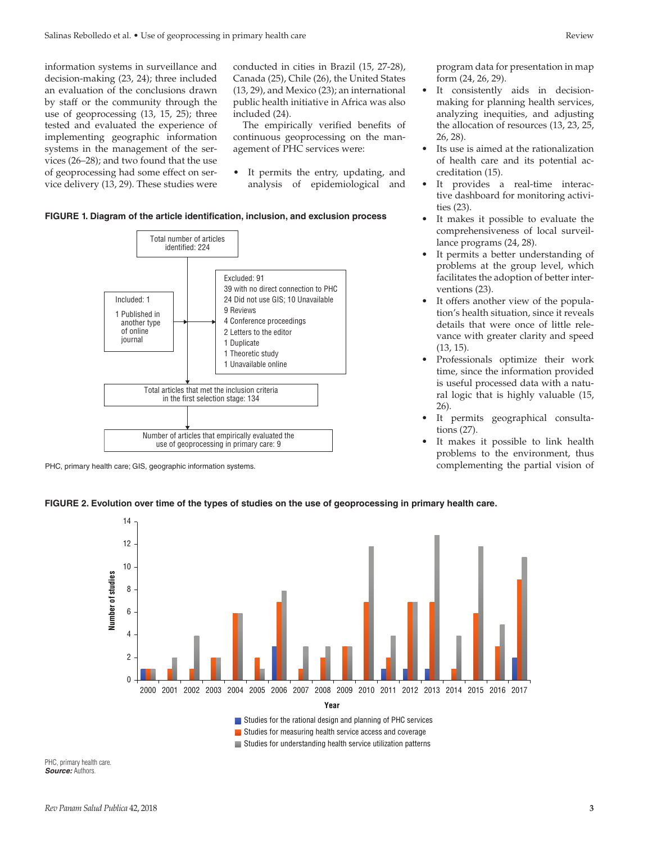information systems in surveillance and decision-making (23, 24); three included an evaluation of the conclusions drawn by staff or the community through the use of geoprocessing (13, 15, 25); three tested and evaluated the experience of implementing geographic information systems in the management of the services (26–28); and two found that the use of geoprocessing had some effect on service delivery (13, 29). These studies were conducted in cities in Brazil (15, 27-28), Canada (25), Chile (26), the United States (13, 29), and Mexico (23); an international public health initiative in Africa was also included (24).

The empirically verified benefits of continuous geoprocessing on the management of PHC services were:

It permits the entry, updating, and analysis of epidemiological and

#### **FIGURE 1. Diagram of the article identification, inclusion, and exclusion process**



PHC, primary health care; GIS, geographic information systems.

program data for presentation in map form (24, 26, 29).

- It consistently aids in decisionmaking for planning health services, analyzing inequities, and adjusting the allocation of resources (13, 23, 25, 26, 28).
- Its use is aimed at the rationalization of health care and its potential accreditation (15).
- It provides a real-time interactive dashboard for monitoring activities (23).
- It makes it possible to evaluate the comprehensiveness of local surveillance programs (24, 28).
- It permits a better understanding of problems at the group level, which facilitates the adoption of better interventions (23).
- It offers another view of the population's health situation, since it reveals details that were once of little relevance with greater clarity and speed (13, 15).
- Professionals optimize their work time, since the information provided is useful processed data with a natural logic that is highly valuable (15, 26).
- It permits geographical consultations (27).
- It makes it possible to link health problems to the environment, thus complementing the partial vision of

#### **FIGURE 2. Evolution over time of the types of studies on the use of geoprocessing in primary health care.**



PHC, primary health care. *Source:* Authors.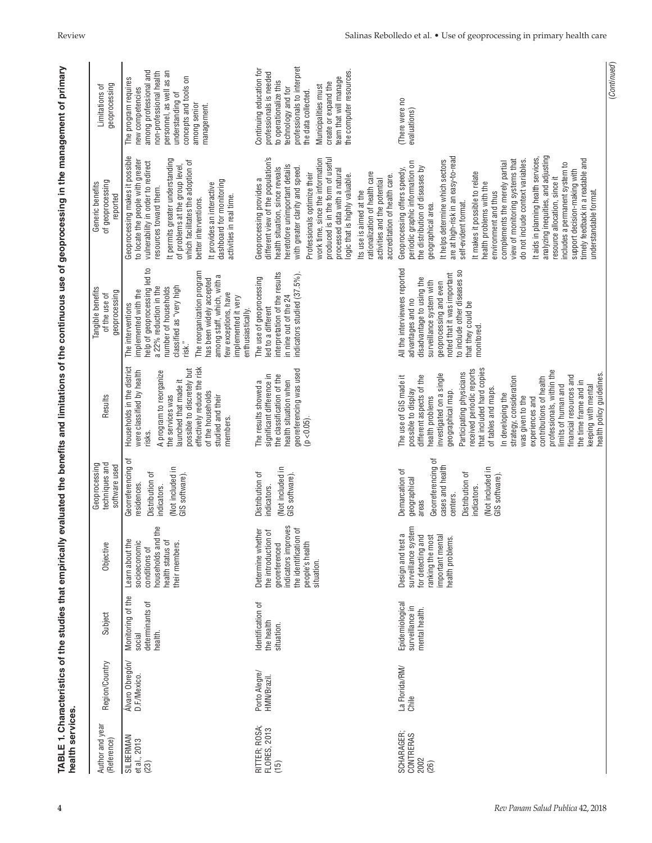| health services.                        |                                 | TABLE 1. Characteristics of the studies that empirically  |                                                                                                                                              |                                                                                                                                                                       |                                                                                                                                                                                                                                                                                                                                                                                                                                                                                                             |                                                                                                                                                                                                                                                                                                                              | evaluated the benefits and limitations of the continuous use of geoprocessing in the management of primary                                                                                                                                                                                                                                                                                                                                                                                                                                                                                                                                                                  |                                                                                                                                                                                                                                                            |
|-----------------------------------------|---------------------------------|-----------------------------------------------------------|----------------------------------------------------------------------------------------------------------------------------------------------|-----------------------------------------------------------------------------------------------------------------------------------------------------------------------|-------------------------------------------------------------------------------------------------------------------------------------------------------------------------------------------------------------------------------------------------------------------------------------------------------------------------------------------------------------------------------------------------------------------------------------------------------------------------------------------------------------|------------------------------------------------------------------------------------------------------------------------------------------------------------------------------------------------------------------------------------------------------------------------------------------------------------------------------|-----------------------------------------------------------------------------------------------------------------------------------------------------------------------------------------------------------------------------------------------------------------------------------------------------------------------------------------------------------------------------------------------------------------------------------------------------------------------------------------------------------------------------------------------------------------------------------------------------------------------------------------------------------------------------|------------------------------------------------------------------------------------------------------------------------------------------------------------------------------------------------------------------------------------------------------------|
| Author and year<br>(Reference)          | Region/Country                  | Subject                                                   | Objective                                                                                                                                    | techniques and<br>Geoprocessing<br>software used                                                                                                                      | Results                                                                                                                                                                                                                                                                                                                                                                                                                                                                                                     | Tangible benefits<br>geoprocessing<br>of the use of                                                                                                                                                                                                                                                                          | of geoprocessing<br>Generic benefits<br>reported                                                                                                                                                                                                                                                                                                                                                                                                                                                                                                                                                                                                                            | geoprocessing<br>Limitations of                                                                                                                                                                                                                            |
| SILBERMAN<br>et al., 2013<br>(23)       | Álvaro Obregón/<br>D.F./Mexico. | Monitoring of the<br>determinants of<br>health.<br>social | households and the<br>Learn about the<br>socioeconomic<br>health status of<br>their members.<br>conditions of                                | đ<br>Georreferencing<br>(Not included in<br>GIS software).<br>Distribution of<br>residences.<br>indicators.                                                           | Households in the district<br>were classified by health<br>effectively reduce the risk<br>possible to discretely but<br>A program to reorganize<br>launched that made it<br>of the households<br>studied and their<br>the services was<br>members.<br>risks.                                                                                                                                                                                                                                                | help of geoprocessing led to<br>The reorganization program<br>among staff, which, with a<br>has been widely accepted<br>classified as "very high<br>number of households<br>a 22% reduction in the<br>mplemented with the<br>few exceptions, have<br>implemented it very<br>The interventions<br>enthusiastically.<br>risk." | Geoprocessing makes it possible<br>It permits greater understanding<br>to locate the people with greater<br>which facilitates the adoption of<br>vulnerability in order to redirect<br>of problems at the group level,<br>dashboard for monitoring<br>It provides an interactive<br>resources toward them.<br>activities in real time.<br>better interventions.                                                                                                                                                                                                                                                                                                             | personnel, as well as an<br>among professional and<br>non-professional health<br>concepts and tools on<br>The program requires<br>new competencies<br>understanding of<br>among senior<br>management.                                                      |
| RITTER; ROSA;<br>FLORES, 2013<br>(15)   | Porto Alegre/<br>HMN/Brazil.    | Identification of<br>the health<br>situation.             | indicators improves<br>৳<br>Determine whether<br>the introduction of<br>the identification<br>people's health<br>situation.<br>georeferenced | (Not included in<br>GIS software).<br>Distribution of<br>indicators.                                                                                                  | georeferencing was used<br>significant difference in<br>the classification of the<br>health situation when<br>The results showed a<br>$(p < 0.05)$ .                                                                                                                                                                                                                                                                                                                                                        | interpretation of the results<br>indicators studied (37.5%).<br>The use of geoprocessing<br>in nine out of the 24<br>led to a different                                                                                                                                                                                      | Geoprocessing provides a<br>different view of the population's<br>produced is in the form of useful<br>work time, since the information<br>heretofore unimportant details<br>health situation, since reveals<br>with greater clarity and speed<br>processed data with a natural<br>rationalization of health care<br>Professionals optimize their<br>ogic that is highly valuable<br>accreditation of health care.<br>activities and the potential<br>Its use is aimed at the                                                                                                                                                                                               | professionals to interpret<br>Continuing education for<br>the computer resources.<br>professionals is needed<br>team that will manage<br>to operationalize this<br>create or expand the<br>Municipalities must<br>technology and for<br>the data collected |
| SCHARAGER;<br>CONTRERAS<br>2002<br>(26) | La Florida/RM/<br>Chile         | Epidemiological<br>surveillance in<br>mental health.      | surveillance system<br>Design and test a<br>important mental<br>health problems.<br>for detecting and<br>ranking the most                    | Georreferencing of<br>cases and health<br>(Not included in<br>Demarcation of<br>Distribution of<br>GIS software).<br>geographical<br>indicators.<br>centers.<br>areas | that included hard copies<br>received periodic reports<br>professionals, within the<br>Participating physicians<br>investigated on a single<br>different aspects of the<br>The use of GIS made it<br>financial resources and<br>strategy, consideration<br>contributions of health<br>the time frame and in<br>limits of human and<br>keeping with mental<br>of tables and maps.<br>possible to display<br>geographical map.<br>In developing the<br>health problems<br>was given to the<br>experiences and | All the interviewees reported<br>to include other diseases so<br>noted that it was important<br>disadvantage to using the<br>surveillance system with<br>geoprocessing and even<br>advantages and no<br>that they could be<br>monitored                                                                                      | analyzing inequities, and adjusting<br>are at high-risk in an easy-to-read<br>It aids in planning health services<br>view of monitoring systems that<br>timely feedback in a readable and<br>It helps determine which sectors<br>do not include context variables.<br>complements the merely partial<br>periodic graphic information on<br>includes a permanent system to<br>the distribution of diseases by<br>Geoprocessing offers speedy,<br>support decision-making with<br>It makes it possible to relate<br>resource allocation, since it<br>health problems with the<br>understandable format.<br>environment and thus<br>self-evident format.<br>geographical area. | (There were no<br>evaluations)                                                                                                                                                                                                                             |
|                                         |                                 |                                                           |                                                                                                                                              |                                                                                                                                                                       | health policy guidelines                                                                                                                                                                                                                                                                                                                                                                                                                                                                                    |                                                                                                                                                                                                                                                                                                                              |                                                                                                                                                                                                                                                                                                                                                                                                                                                                                                                                                                                                                                                                             | (Continued)                                                                                                                                                                                                                                                |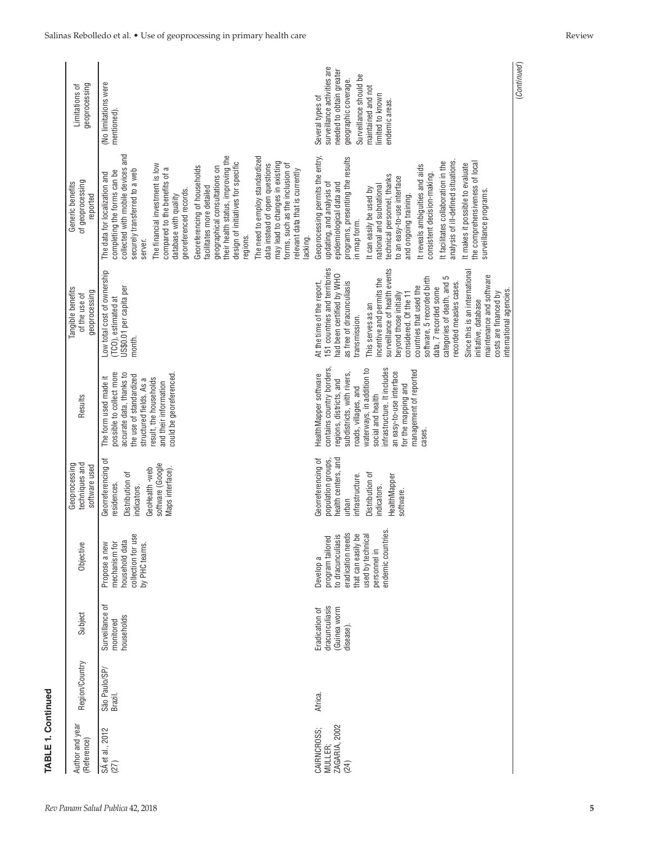| geoprocessing<br>Limitations of                    | (No limitations were<br>mentioned)                                                                                                                                                                                                                                                                                                                                                                                                                                                                                                                                                                                                                    | surveillance activities are<br>needed to obtain greater<br>Surveillance should be<br>geographic coverage.<br>maintained and not<br>imited to known<br>Several types of<br>endemic areas.                                                                                                                                                                                                                                                                                                                                                                        | (Continued) |
|----------------------------------------------------|-------------------------------------------------------------------------------------------------------------------------------------------------------------------------------------------------------------------------------------------------------------------------------------------------------------------------------------------------------------------------------------------------------------------------------------------------------------------------------------------------------------------------------------------------------------------------------------------------------------------------------------------------------|-----------------------------------------------------------------------------------------------------------------------------------------------------------------------------------------------------------------------------------------------------------------------------------------------------------------------------------------------------------------------------------------------------------------------------------------------------------------------------------------------------------------------------------------------------------------|-------------|
| of geoprocessing<br>Generic benefits<br>reported   | and<br>their health status, improving the<br>The need to employ standardized<br>design of initiatives for specific<br>may lead to changes in existing<br>forms, such as the inclusion of<br>data instead of open questions<br>The financial investment is low<br>Georeferencing of households<br>geographical consultations on<br>collected with mobile devices<br>compared to the benefits of a<br>securely transferred to a web<br>relevant data that is currently<br>completing the forms can be<br>The data for localization and<br>acilitates more detailed<br>georeferenced records.<br>database with quality<br>regions.<br>acking.<br>server. | Geoprocessing permits the entry,<br>programs, presenting the results<br>analysis of ill-defined situations.<br>It facilitates collaboration in the<br>the comprehensiveness of local<br>It makes it possible to evaluate<br>It reveals ambiguities and aids<br>consistent decision-making.<br>echnical personnel, thanks<br>to an easy-to-use interface<br>epidemiological data and<br>updating, and analysis of<br>national and subnational<br>It can easily be used by<br>surveillance programs.<br>and ongoing training.<br>n map form.                      |             |
| angible benefits<br>geoprocessing<br>of the use of | Low total cost of ownership<br>US\$0.01 per capita per<br>TCO), estimated at<br>month.                                                                                                                                                                                                                                                                                                                                                                                                                                                                                                                                                                | 151 countries and territories<br>surveillance of health events<br>Since this is an international<br>had been certified by WHO<br>maintenance and software<br>categories of death, and 5<br>software, 5 recorded birth<br>incentive and permits the<br>At the time of the report,<br>as free of dracunculiasis<br>recorded measles cases.<br>countries that used the<br>data, 7 recorded some<br>nternational agencies.<br>costs are financed by<br>beyond those initially<br>considered. Of the 11<br>nitiative, database<br>This serves as an<br>transmission. |             |
| Results                                            | possible to collect more<br>accurate data, thanks to<br>could be georeferenced.<br>the use of standardized<br>The form used made it<br>result, the households<br>structured fields. As a<br>and their information                                                                                                                                                                                                                                                                                                                                                                                                                                     | contains country borders,<br>nfrastructure. It includes<br>waterways, in addition to<br>management of reported<br>an easy-to-use interface<br>subdistricts, with rivers,<br>HealthMapper software<br>regions, districts, and<br>or the mapping and<br>roads, villages, and<br>social and health<br>cases.                                                                                                                                                                                                                                                       |             |
| techniques and<br>Geoprocessing<br>software used   | Georreferencing of<br>software (Google<br>GeoHealth-web<br>Maps interface)<br>Distribution of<br>residences.<br>indicators.                                                                                                                                                                                                                                                                                                                                                                                                                                                                                                                           | health centers, and<br>Georreferencing of<br>population groups,<br>Distribution of<br>infrastructure.<br>HealthMapper<br>ndicators.<br>software.<br>urban                                                                                                                                                                                                                                                                                                                                                                                                       |             |
| Objective                                          | collection for use<br>household data<br>mechanism for<br>Propose a new<br>by PHC teams.                                                                                                                                                                                                                                                                                                                                                                                                                                                                                                                                                               | ã,<br>eradication needs<br>that can easily be<br>program tailored<br>to dracunculiasis<br>used by technica<br>endemic countrie<br>personnel in<br>Develop a                                                                                                                                                                                                                                                                                                                                                                                                     |             |
| Subject                                            | Surveillance of<br>households<br>monitored                                                                                                                                                                                                                                                                                                                                                                                                                                                                                                                                                                                                            | dracunculiasis<br>Guinea worm<br>Eradication of<br>disease).                                                                                                                                                                                                                                                                                                                                                                                                                                                                                                    |             |
| Region/Country                                     | São Paulo/SP/<br>Brazil.                                                                                                                                                                                                                                                                                                                                                                                                                                                                                                                                                                                                                              | Africa.                                                                                                                                                                                                                                                                                                                                                                                                                                                                                                                                                         |             |
| Author and year<br>(Reference)                     | SÁ et al., 2012<br>(27)                                                                                                                                                                                                                                                                                                                                                                                                                                                                                                                                                                                                                               | ZAGARIA, 2002<br>CAIRNCROSS;<br>MULLER;<br>(24)                                                                                                                                                                                                                                                                                                                                                                                                                                                                                                                 |             |

**TABLE 1. Continued**

TABLE 1. Continued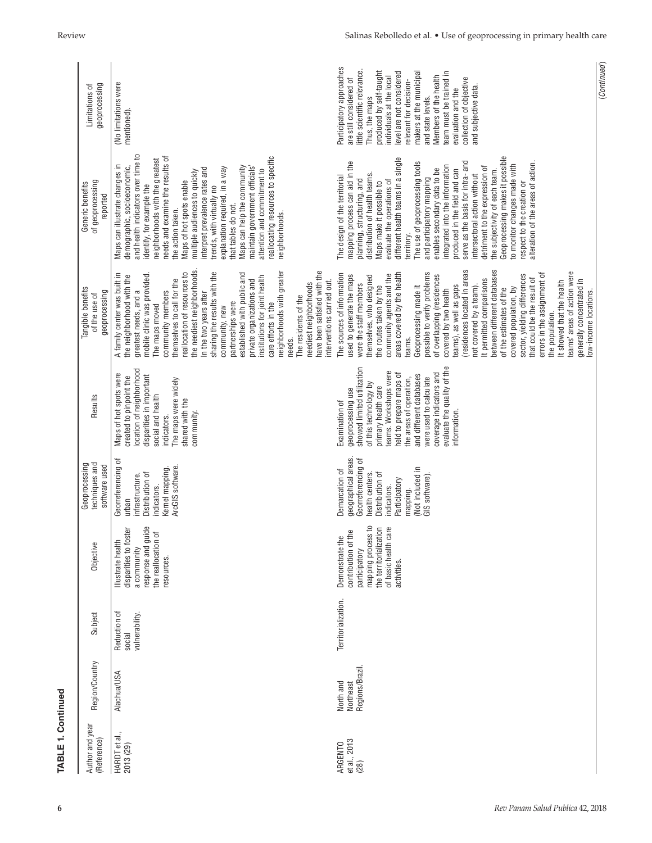| <b>TABLE 1. Continued</b>              |                                           |                                          |                                                                                                                                                      |                                                                                                                                                                                     |                                                                                                                                                                                                                                                                                                                                 |                                                                                                                                                                                                                                                                                                                                                                                                                                                                                                                                                                                                                                                                                                                                                                      |                                                                                                                                                                                                                                                                                                                                                                                                                                                                                                                                                                                                                                                                                                |                                                                                                                                                                                                                                                                                                                                                                                               |
|----------------------------------------|-------------------------------------------|------------------------------------------|------------------------------------------------------------------------------------------------------------------------------------------------------|-------------------------------------------------------------------------------------------------------------------------------------------------------------------------------------|---------------------------------------------------------------------------------------------------------------------------------------------------------------------------------------------------------------------------------------------------------------------------------------------------------------------------------|----------------------------------------------------------------------------------------------------------------------------------------------------------------------------------------------------------------------------------------------------------------------------------------------------------------------------------------------------------------------------------------------------------------------------------------------------------------------------------------------------------------------------------------------------------------------------------------------------------------------------------------------------------------------------------------------------------------------------------------------------------------------|------------------------------------------------------------------------------------------------------------------------------------------------------------------------------------------------------------------------------------------------------------------------------------------------------------------------------------------------------------------------------------------------------------------------------------------------------------------------------------------------------------------------------------------------------------------------------------------------------------------------------------------------------------------------------------------------|-----------------------------------------------------------------------------------------------------------------------------------------------------------------------------------------------------------------------------------------------------------------------------------------------------------------------------------------------------------------------------------------------|
| Author and year<br>(Reference)         | Region/Country                            | Subject                                  | Objective                                                                                                                                            | Geoprocessing<br>techniques and<br>software used                                                                                                                                    | Results                                                                                                                                                                                                                                                                                                                         | Tangible benefits<br>geoprocessing<br>of the use of                                                                                                                                                                                                                                                                                                                                                                                                                                                                                                                                                                                                                                                                                                                  | of geoprocessing<br>Generic benefits<br>reported                                                                                                                                                                                                                                                                                                                                                                                                                                                                                                                                                                                                                                               | geoprocessing<br>Limitations of                                                                                                                                                                                                                                                                                                                                                               |
| HARDT et al.,<br>2013 (29)             | <b>Alachua/USA</b>                        | Reduction of<br>vulnerability.<br>social | 으<br>disparities to foster<br>response and guid<br>the reallocation of<br>Illustrate health<br>a community<br>resources.                             | Georreferencing of<br>ArcGIS software.<br>Kernel mapping.<br>Distribution of<br>infrastructure.<br>indicators.<br>urban                                                             | location of neighborhood<br>Maps of hot spots were<br>disparities in important<br>created to pinpoint the<br>The maps were widely<br>social and health<br>shared with the<br>community.<br>indicators.                                                                                                                          | the neediest neighborhoods.<br>neighborhoods with greater<br>have been satisfied with the<br>reallocation of resources to<br>sharing the results with the<br>A family center was built in<br>established with public and<br>mobile clinic was provided.<br>the neighborhood with the<br>institutions for joint health<br>private organizations and<br>themselves to call for the<br>interventions carried out.<br>neediest neighborhoods<br>greatest needs, and a<br>community members<br>n the two years after<br>The residents of the<br>partnerships were<br>care efforts in the<br>The maps moved<br>community, new<br>needs.                                                                                                                                    | and health indicators over time to<br>reallocating resources to specific<br>needs and examine the results of<br>neighborhoods with the greatest<br>Maps can illustrate changes in<br>demographic, socioeconomic,<br>Maps can help the community<br>maintain government officials<br>interpret prevalence rates and<br>explanation required, in a way<br>attention and commitment to<br>multiple audiences to quickly<br>Maps of hot spots enable<br>identify, for example the<br>trends, with virtually no<br>that tables do not.<br>the action taken.<br>neighborhoods.                                                                                                                       | (No limitations were<br>mentioned).                                                                                                                                                                                                                                                                                                                                                           |
| et al., 2013<br><b>ARGENTO</b><br>(28) | Regions/Brazil.<br>North and<br>Northeast | Territorialization.                      | 요<br>the territorialization<br>ஒ<br>contribution of the<br>of basic health car<br>mapping process<br>Demonstrate the<br>participatory<br>activities. | geographical areas.<br>Georreferencing of<br>(Not included in<br>Demarcation of<br>health centers.<br>Distribution of<br>GIS software).<br>Participatory<br>indicators.<br>mapping. | showed limited utilization<br>evaluate the quality of the<br>teams. Workshops were<br>coverage indicators and<br>held to prepare maps of<br>and different databases<br>the areas of operation,<br>were used to calculate<br>of this technology by<br>primary health care<br>geoprocessing use<br>Examination of<br>information. | between different databases<br>(residences located in areas<br>teams' areas of action were<br>possible to verify problems<br>areas covered by the health<br>errors in the assignment of<br>The sources of information<br>community agents and the<br>of overlapping (residences<br>used to generate the maps<br>sector, yielding differences<br>themselves, who designed<br>that could be the result of<br>It permitted comparisons<br>generally concentrated in<br>It showed that the health<br>were the staff members<br>teams), as well as gaps<br>the routes taken by the<br>Geoprocessing made it<br>not covered by a team).<br>covered population, by<br>of the estimates of the<br>covered by two health<br>ow-income locations.<br>the population.<br>teams. | Geoprocessing makes it possible<br>different health teams in a single<br>The use of geoprocessing tools<br>serve as the basis for intra- and<br>alteration of the areas of action.<br>mapping process can aid in the<br>to monitor changes made with<br>integrated into the information<br>detriment to the expression of<br>enables secondary data to be<br>produced in the field and can<br>the subjectivity of each team<br>distribution of health teams.<br>intersectoral action without<br>The design of the territorial<br>planning, structuring, and<br>and participatory mapping<br>evaluate the operations of<br>Maps make it possible to<br>respect to the creation or<br>territory. | Participatory approaches<br>little scientific relevance.<br>makers at the municipal<br>produced by self-taught<br>team must be trained in<br>evel are not considered<br>Members of the health<br>ndividuals at the local<br>collection of objective<br>are still considered of<br>relevant for decision-<br>and subjective data.<br>evaluation and the<br>and state levels.<br>Thus, the maps |
|                                        |                                           |                                          |                                                                                                                                                      |                                                                                                                                                                                     |                                                                                                                                                                                                                                                                                                                                 |                                                                                                                                                                                                                                                                                                                                                                                                                                                                                                                                                                                                                                                                                                                                                                      |                                                                                                                                                                                                                                                                                                                                                                                                                                                                                                                                                                                                                                                                                                | (Continued)                                                                                                                                                                                                                                                                                                                                                                                   |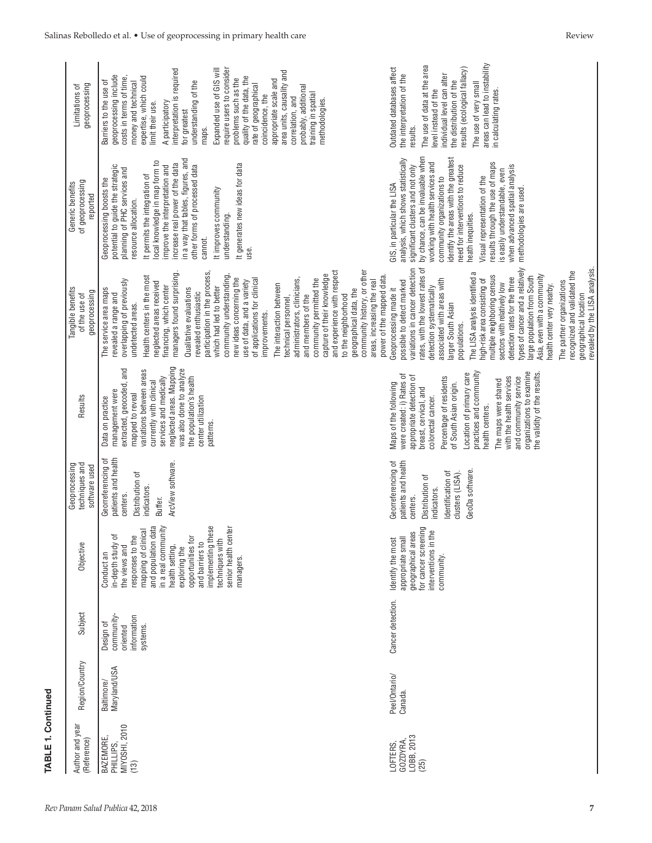| <b>FABLE 1. Continued</b>                              |                            |                                                               |                                                                                                                                                                                                                                                                                                  |                                                                                                                                                     |                                                                                                                                                                                                                                                                                                                                                                                                       |                                                                                                                                                                                                                                                                                                                                                                                                                                                                                                                                                                                                                                                                                                                                                          |                                                                                                                                                                                                                                                                                                                                                                                                                                                                                   |                                                                                                                                                                                                                                                                                                                                                                                                                                                                                                                                                       |
|--------------------------------------------------------|----------------------------|---------------------------------------------------------------|--------------------------------------------------------------------------------------------------------------------------------------------------------------------------------------------------------------------------------------------------------------------------------------------------|-----------------------------------------------------------------------------------------------------------------------------------------------------|-------------------------------------------------------------------------------------------------------------------------------------------------------------------------------------------------------------------------------------------------------------------------------------------------------------------------------------------------------------------------------------------------------|----------------------------------------------------------------------------------------------------------------------------------------------------------------------------------------------------------------------------------------------------------------------------------------------------------------------------------------------------------------------------------------------------------------------------------------------------------------------------------------------------------------------------------------------------------------------------------------------------------------------------------------------------------------------------------------------------------------------------------------------------------|-----------------------------------------------------------------------------------------------------------------------------------------------------------------------------------------------------------------------------------------------------------------------------------------------------------------------------------------------------------------------------------------------------------------------------------------------------------------------------------|-------------------------------------------------------------------------------------------------------------------------------------------------------------------------------------------------------------------------------------------------------------------------------------------------------------------------------------------------------------------------------------------------------------------------------------------------------------------------------------------------------------------------------------------------------|
| Author and year<br>(Reference)                         | Region/Country             | Subject                                                       | Objective                                                                                                                                                                                                                                                                                        | Geoprocessing<br>techniques and<br>software used                                                                                                    | Results                                                                                                                                                                                                                                                                                                                                                                                               | Tangible benefits<br>geoprocessing<br>of the use of                                                                                                                                                                                                                                                                                                                                                                                                                                                                                                                                                                                                                                                                                                      | of geoprocessing<br>Generic benefits<br>reported                                                                                                                                                                                                                                                                                                                                                                                                                                  | geoprocessing<br>Limitations of                                                                                                                                                                                                                                                                                                                                                                                                                                                                                                                       |
| <b>MIYOSHI, 2010</b><br>BAZEMORE,<br>PHILLIPS,<br>(13) | Maryland/USA<br>Baltimore/ | information<br>community<br>Design of<br>systems.<br>oriented | and population data<br>in a real community<br>implementing these<br>senior health center<br>mapping of clinical<br>responses to the<br>opportunities for<br>techniques with<br>and barriers to<br>in-depth study<br>health setting,<br>the views and<br>exploring the<br>Conduct an<br>managers. | patients and health<br>Georreferencing of<br>ArcView software<br>Distribution of<br>indicators.<br>centers.<br>Buffer.                              | neglected areas. Mapping<br>extracted, geocoded, and<br>was also done to analyze<br>variations between areas<br>services and medically<br>the population's health<br>currently with clinical<br>management were<br>mapped to reveal<br>Data on practice<br>center utilization<br>patterns                                                                                                             | community history, or other<br>and experience with respect<br>managers found surprising.<br>participation in the process,<br>capture of their knowledge<br>community understanding,<br>Health centers in the most<br>administrators, clinicians,<br>new ideas concerning the<br>of applications for clinical<br>community permitted the<br>overlapping of previously<br>use of data, and a variety<br>neglected areas received<br>The interaction between<br>financing, which center<br>which had led to better<br>Qualitative evaluations<br>geographical data, the<br>The service area maps<br>revealed enthusiastic<br>revealed a range and<br>to the neighborhood<br>and members of the<br>technical personnel<br>undetected areas.<br>improvements. | in a way that tables, figures, and<br>local knowledge in map form to<br>increase real power of the data<br>It generates new ideas for data<br>improve the interpretation and<br>potential to guide the strategic<br>other forms of processed data<br>planning of PHC services and<br>It permits the integration of<br>Geoprocessing boosts the<br>It improves community<br>resource allocation.<br>understanding.<br>cannot.<br>use.                                              | require users to consider<br>interpretation is required<br>Expanded use of GIS will<br>area units, causality and<br>geoprocessing include<br>costs in terms of time,<br>expertise, which could<br>quality of the data, the<br>problems such as the<br>appropriate scale and<br>understanding of the<br>Barriers to the use of<br>money and technical<br>rate of geographical<br>probably, additional<br>training in spatial<br>coincidence, the<br>correlation, and<br>methodologies.<br>A participatory<br>limit their use.<br>for greatest<br>maps. |
| LOBB, 2013<br>GOZDYRA,<br>LOFTERS.<br>(25)             | Peel/Ontario/<br>Canada.   | Cancer detection.                                             | for cancer screening<br>interventions in the<br>Šť<br>Identify the most<br>appropriate small<br>geographical area<br>community.                                                                                                                                                                  | patients and health<br>Georreferencing of<br>GeoDa software.<br>Identification of<br>clusters (LISA).<br>Distribution of<br>indicators.<br>centers. | organizations to examine<br>practices and community<br>Location of primary care<br>the validity of the results.<br>were created: i) Rates of<br>appropriate detection of<br>with the health services<br>and community service<br>Percentage of residents<br>The maps were shared<br>of South Asian origin.<br>Maps of the following<br>breast, cervical, and<br>colorectal cancer.<br>nealth centers. | rates, with the lowest rates of<br>revealed by the LISA analysis.<br>variations in cancer detection<br>types of cancer and a relatively<br>recognized and validated the<br>The LISA analysis identified a<br>multiple neighboring census<br>power of the mapped data.<br>Asia, even with a community<br>large population from South<br>detection rates for the three<br>associated with areas with<br>high-risk area consisting of<br>possible to detect marked<br>areas, increasing the real<br>The partner organizations<br>sectors with relatively low<br>health center very nearby.<br>detection systematically<br>Geoprocessing made it<br>geographical location<br>larger South Asian<br>populations.                                              | by chance, can be invaluable when<br>analysis, which shows statistically<br>identify the areas with the greatest<br>working with health services and<br>results through the use of maps<br>need for interventions to reduce<br>when advanced spatial analysis<br>significant clusters and not only<br>is easily understandable, even<br>Visual representation of the<br>community organizations to<br>GIS, in particular the LISA<br>methodologies are used.<br>heath inequities. | areas can lead to instability<br>The use of data at the area<br>results (ecological fallacy)<br>Outdated databases affect<br>the interpretation of the<br>individual level can alter<br>the distribution of the<br>The use of very small<br>level instead of the<br>in calculating rates.<br>results.                                                                                                                                                                                                                                                 |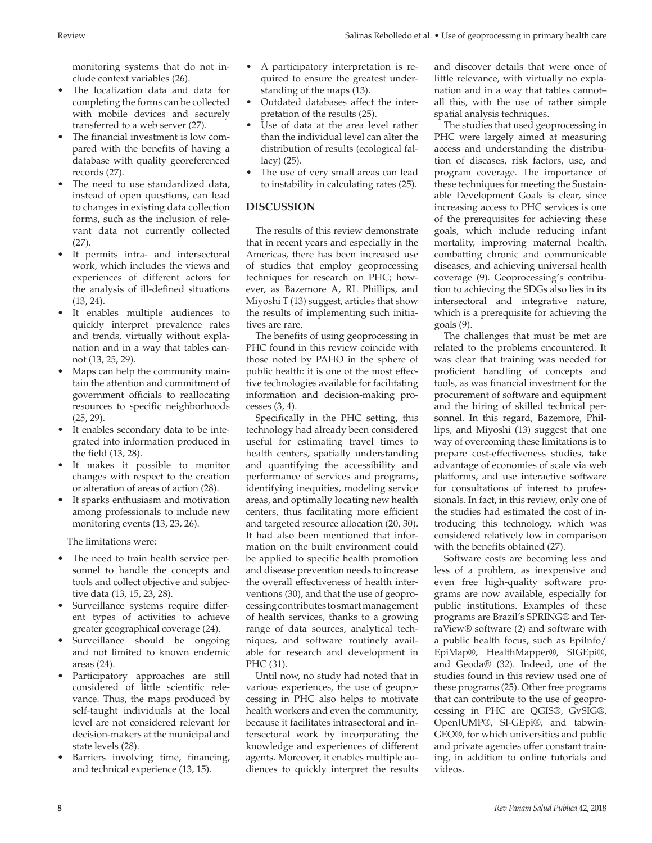monitoring systems that do not include context variables (26).

- The localization data and data for completing the forms can be collected with mobile devices and securely transferred to a web server (27).
- The financial investment is low compared with the benefits of having a database with quality georeferenced records (27).
- The need to use standardized data. instead of open questions, can lead to changes in existing data collection forms, such as the inclusion of relevant data not currently collected (27).
- • It permits intra- and intersectoral work, which includes the views and experiences of different actors for the analysis of ill-defined situations (13, 24).
- It enables multiple audiences to quickly interpret prevalence rates and trends, virtually without explanation and in a way that tables cannot (13, 25, 29).
- Maps can help the community maintain the attention and commitment of government officials to reallocating resources to specific neighborhoods (25, 29).
- • It enables secondary data to be integrated into information produced in the field (13, 28).
- • It makes it possible to monitor changes with respect to the creation or alteration of areas of action (28).
- It sparks enthusiasm and motivation among professionals to include new monitoring events (13, 23, 26).

The limitations were:

- The need to train health service personnel to handle the concepts and tools and collect objective and subjective data (13, 15, 23, 28).
- • Surveillance systems require different types of activities to achieve greater geographical coverage (24).
- Surveillance should be ongoing and not limited to known endemic areas (24).
- • Participatory approaches are still considered of little scientific relevance. Thus, the maps produced by self-taught individuals at the local level are not considered relevant for decision-makers at the municipal and state levels (28).
- Barriers involving time, financing, and technical experience (13, 15).
- A participatory interpretation is required to ensure the greatest understanding of the maps (13).
- • Outdated databases affect the interpretation of the results (25).
- Use of data at the area level rather than the individual level can alter the distribution of results (ecological fallacy) (25).
- The use of very small areas can lead to instability in calculating rates (25).

## **DISCUSSION**

The results of this review demonstrate that in recent years and especially in the Americas, there has been increased use of studies that employ geoprocessing techniques for research on PHC; however, as Bazemore A, RL Phillips, and Miyoshi T (13) suggest, articles that show the results of implementing such initiatives are rare.

The benefits of using geoprocessing in PHC found in this review coincide with those noted by PAHO in the sphere of public health: it is one of the most effective technologies available for facilitating information and decision-making processes (3, 4).

Specifically in the PHC setting, this technology had already been considered useful for estimating travel times to health centers, spatially understanding and quantifying the accessibility and performance of services and programs, identifying inequities, modeling service areas, and optimally locating new health centers, thus facilitating more efficient and targeted resource allocation (20, 30). It had also been mentioned that information on the built environment could be applied to specific health promotion and disease prevention needs to increase the overall effectiveness of health interventions (30), and that the use of geoprocessing contributes to smart management of health services, thanks to a growing range of data sources, analytical techniques, and software routinely available for research and development in PHC (31).

Until now, no study had noted that in various experiences, the use of geoprocessing in PHC also helps to motivate health workers and even the community, because it facilitates intrasectoral and intersectoral work by incorporating the knowledge and experiences of different agents. Moreover, it enables multiple audiences to quickly interpret the results

and discover details that were once of little relevance, with virtually no explanation and in a way that tables cannot– all this, with the use of rather simple spatial analysis techniques.

The studies that used geoprocessing in PHC were largely aimed at measuring access and understanding the distribution of diseases, risk factors, use, and program coverage. The importance of these techniques for meeting the Sustainable Development Goals is clear, since increasing access to PHC services is one of the prerequisites for achieving these goals, which include reducing infant mortality, improving maternal health, combatting chronic and communicable diseases, and achieving universal health coverage (9). Geoprocessing's contribution to achieving the SDGs also lies in its intersectoral and integrative nature, which is a prerequisite for achieving the goals (9).

The challenges that must be met are related to the problems encountered. It was clear that training was needed for proficient handling of concepts and tools, as was financial investment for the procurement of software and equipment and the hiring of skilled technical personnel. In this regard, Bazemore, Phillips, and Miyoshi (13) suggest that one way of overcoming these limitations is to prepare cost-effectiveness studies, take advantage of economies of scale via web platforms, and use interactive software for consultations of interest to professionals. In fact, in this review, only one of the studies had estimated the cost of introducing this technology, which was considered relatively low in comparison with the benefits obtained (27).

Software costs are becoming less and less of a problem, as inexpensive and even free high-quality software programs are now available, especially for public institutions. Examples of these programs are Brazil's SPRING® and TerraView® software (2) and software with a public health focus, such as EpiInfo/ EpiMap®, HealthMapper®, SIGEpi®, and Geoda® (32). Indeed, one of the studies found in this review used one of these programs (25). Other free programs that can contribute to the use of geoprocessing in PHC are QGIS®, GvSIG®, OpenJUMP®, SI-GEpi®, and tabwin-GEO®, for which universities and public and private agencies offer constant training, in addition to online tutorials and videos.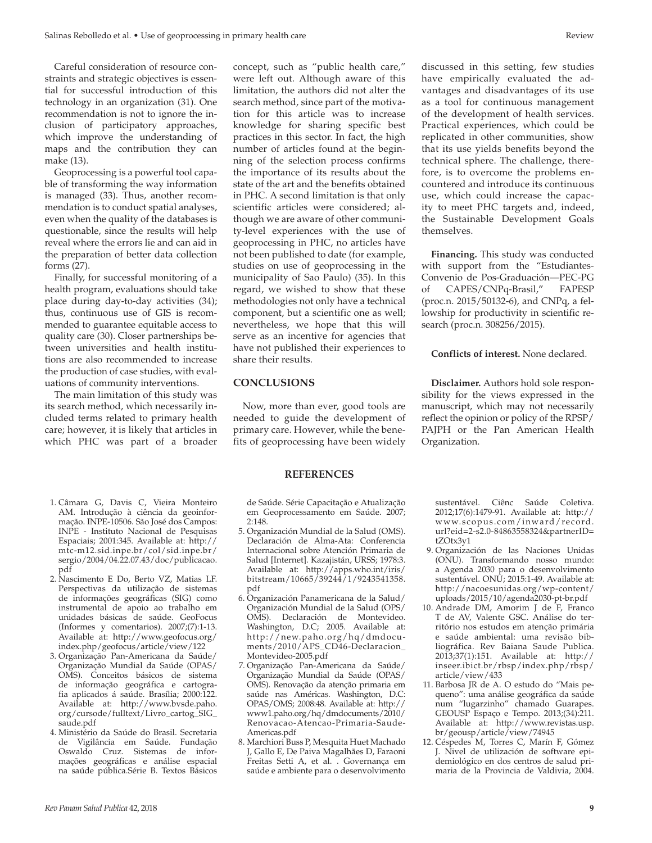Careful consideration of resource constraints and strategic objectives is essential for successful introduction of this technology in an organization (31). One recommendation is not to ignore the inclusion of participatory approaches, which improve the understanding of maps and the contribution they can make (13).

Geoprocessing is a powerful tool capable of transforming the way information is managed (33). Thus, another recommendation is to conduct spatial analyses, even when the quality of the databases is questionable, since the results will help reveal where the errors lie and can aid in the preparation of better data collection forms (27).

Finally, for successful monitoring of a health program, evaluations should take place during day-to-day activities (34); thus, continuous use of GIS is recommended to guarantee equitable access to quality care (30). Closer partnerships between universities and health institutions are also recommended to increase the production of case studies, with evaluations of community interventions.

The main limitation of this study was its search method, which necessarily included terms related to primary health care; however, it is likely that articles in which PHC was part of a broader

- 1. Câmara G, Davis C, Vieira Monteiro AM. Introdução à ciência da geoinformação. INPE-10506. São José dos Campos: INPE - Instituto Nacional de Pesquisas Espaciais; 2001:345. Available at: [http://](http://mtc-m12.sid.inpe.br/col/sid.inpe.br/sergio/2004/04.22.07.43/doc/publicacao.pdf) [mtc-m12.sid.inpe.br/col/sid.inpe.br/](http://mtc-m12.sid.inpe.br/col/sid.inpe.br/sergio/2004/04.22.07.43/doc/publicacao.pdf) [sergio/2004/04.22.07.43/doc/publicacao.](http://mtc-m12.sid.inpe.br/col/sid.inpe.br/sergio/2004/04.22.07.43/doc/publicacao.pdf) [pdf](http://mtc-m12.sid.inpe.br/col/sid.inpe.br/sergio/2004/04.22.07.43/doc/publicacao.pdf)
- 2. Nascimento E Do, Berto VZ, Matias LF. Perspectivas da utilização de sistemas de informações geográficas (SIG) como instrumental de apoio ao trabalho em unidades básicas de saúde. GeoFocus (Informes y comentarios). 2007;(7):1-13. Available at: [http://www.geofocus.org/](http://www.geofocus.org/index.php/geofocus/article/view/122) [index.php/geofocus/article/view/122](http://www.geofocus.org/index.php/geofocus/article/view/122)
- 3. Organização Pan-Americana da Saúde/ Organização Mundial da Saúde (OPAS/ OMS). Conceitos básicos de sistema de informação geográfica e cartografia aplicados á saúde. Brasília; 2000:122. Available at: [http://www.bvsde.paho.](http://www.bvsde.paho.org/cursode/fulltext/Livro_cartog_SIG_saude.pdf) [org/cursode/fulltext/Livro\\_cartog\\_SIG\\_](http://www.bvsde.paho.org/cursode/fulltext/Livro_cartog_SIG_saude.pdf) [saude.pdf](http://www.bvsde.paho.org/cursode/fulltext/Livro_cartog_SIG_saude.pdf)
- 4. Ministério da Saúde do Brasil. Secretaria de Vigilância em Saúde. Fundação Oswaldo Cruz. Sistemas de informações geográficas e análise espacial na saúde pública.Série B. Textos Básicos

concept, such as "public health care," were left out. Although aware of this limitation, the authors did not alter the search method, since part of the motivation for this article was to increase knowledge for sharing specific best practices in this sector. In fact, the high number of articles found at the beginning of the selection process confirms the importance of its results about the state of the art and the benefits obtained in PHC. A second limitation is that only scientific articles were considered; although we are aware of other community-level experiences with the use of geoprocessing in PHC, no articles have not been published to date (for example, studies on use of geoprocessing in the municipality of Sao Paulo) (35). In this regard, we wished to show that these methodologies not only have a technical component, but a scientific one as well; nevertheless, we hope that this will serve as an incentive for agencies that have not published their experiences to share their results.

#### **CONCLUSIONS**

Now, more than ever, good tools are needed to guide the development of primary care. However, while the benefits of geoprocessing have been widely

#### **REFERENCES**

de Saúde. Série Capacitação e Atualização em Geoprocessamento em Saúde. 2007; 2:148.

- 5. Organización Mundial de la Salud (OMS). Declaración de Alma-Ata: Conferencia Internacional sobre Atención Primaria de Salud [Internet]. Kazajistán, URSS; 1978:3. Available at: [http://apps.who.int/iris/](http://apps.who.int/iris/bitstream/10665/39244/1/9243541358.pdf) [bitstream/10665/39244/1/9243541358.](http://apps.who.int/iris/bitstream/10665/39244/1/9243541358.pdf) [pdf](http://apps.who.int/iris/bitstream/10665/39244/1/9243541358.pdf)
- 6. Organización Panamericana de la Salud/ Organización Mundial de la Salud (OPS/ OMS). Declaración de Montevideo. Washington, D.C; 2005. Available at: [http://new.paho.org/hq/dmdocu](http://new.paho.org/hq/dmdocuments/2010/APS_CD46-Declaracion_Montevideo-2005.pdf)[ments/2010/APS\\_CD46-Declaracion\\_](http://new.paho.org/hq/dmdocuments/2010/APS_CD46-Declaracion_Montevideo-2005.pdf) [Montevideo-2005.pdf](http://new.paho.org/hq/dmdocuments/2010/APS_CD46-Declaracion_Montevideo-2005.pdf)
- 7. Organização Pan-Americana da Saúde/ Organização Mundial da Saúde (OPAS/ OMS). Renovação da atenção primaria em saúde nas Américas. Washington, D.C: OPAS/OMS; 2008:48. Available at: [http://](http://www1.paho.org/hq/dmdocuments/2010/Renovacao-Atencao-Primaria-Saude-Americas.pdf) [www1.paho.org/hq/dmdocuments/2010/](http://www1.paho.org/hq/dmdocuments/2010/Renovacao-Atencao-Primaria-Saude-Americas.pdf) [Renovacao-Atencao-Primaria-Saude-](http://www1.paho.org/hq/dmdocuments/2010/Renovacao-Atencao-Primaria-Saude-Americas.pdf)[Americas.pdf](http://www1.paho.org/hq/dmdocuments/2010/Renovacao-Atencao-Primaria-Saude-Americas.pdf)
- 8. Marchiori Buss P, Mesquita Huet Machado J, Gallo E, De Paiva Magalhães D, Faraoni Freitas Setti A, et al. . Governança em saúde e ambiente para o desenvolvimento

discussed in this setting, few studies have empirically evaluated the advantages and disadvantages of its use as a tool for continuous management of the development of health services. Practical experiences, which could be replicated in other communities, show that its use yields benefits beyond the technical sphere. The challenge, therefore, is to overcome the problems encountered and introduce its continuous use, which could increase the capacity to meet PHC targets and, indeed, the Sustainable Development Goals themselves.

**Financing.** This study was conducted with support from the "Estudiantes-Convenio de Pos-Graduación—PEC-PG of CAPES/CNPq-Brasil," FAPESP (proc.n. 2015/50132-6), and CNPq, a fellowship for productivity in scientific research (proc.n. 308256/2015).

**Conflicts of interest.** None declared.

**Disclaimer.** Authors hold sole responsibility for the views expressed in the manuscript, which may not necessarily reflect the opinion or policy of the RPSP/ PAJPH or the Pan American Health Organization.

sustentável. Ciênc Saúde Coletiva. 2012;17(6):1479-91. Available at: [http://](http://www.scopus.com/inward/record.url?eid=2-s2.0-84863558324&partnerID=tZOtx3y1) [www.scopus.com/inward/record.](http://www.scopus.com/inward/record.url?eid=2-s2.0-84863558324&partnerID=tZOtx3y1) [url?eid=2-s2.0-84863558324&partnerID=](http://www.scopus.com/inward/record.url?eid=2-s2.0-84863558324&partnerID=tZOtx3y1) [tZOtx3y1](http://www.scopus.com/inward/record.url?eid=2-s2.0-84863558324&partnerID=tZOtx3y1)

- 9. Organización de las Naciones Unidas (ONU). Transformando nosso mundo: a Agenda 2030 para o desenvolvimento sustentável. ONŪ; 2015:1-49. Available at: [http://nacoesunidas.org/wp-content/](http://nacoesunidas.org/wp-content/uploads/2015/10/agenda2030-pt-br.pdf) [uploads/2015/10/agenda2030-pt-br.pdf](http://nacoesunidas.org/wp-content/uploads/2015/10/agenda2030-pt-br.pdf)
- 10. Andrade DM, Amorim J de F, Franco T de AV, Valente GSC. Análise do território nos estudos em atenção primária e saúde ambiental: uma revisão bibliográfica. Rev Baiana Saude Publica. 2013;37(1):151. Available at: [http://](http://inseer.ibict.br/rbsp/index.php/rbsp/article/view/433) [inseer.ibict.br/rbsp/index.php/rbsp/](http://inseer.ibict.br/rbsp/index.php/rbsp/article/view/433) [article/view/433](http://inseer.ibict.br/rbsp/index.php/rbsp/article/view/433)
- 11. Barbosa JR de A. O estudo do "Mais pequeno": uma análise geográfica da saúde num "lugarzinho" chamado Guarapes. GEOUSP Espaço e Tempo. 2013;(34):211. Available at: [http://www.revistas.usp.](http://www.revistas.usp.br/geousp/article/view/74945) [br/geousp/article/view/74945](http://www.revistas.usp.br/geousp/article/view/74945)
- 12. Céspedes M, Torres C, Marín F, Gómez J. Nivel de utilización de software epidemiológico en dos centros de salud primaria de la Provincia de Valdivia, 2004.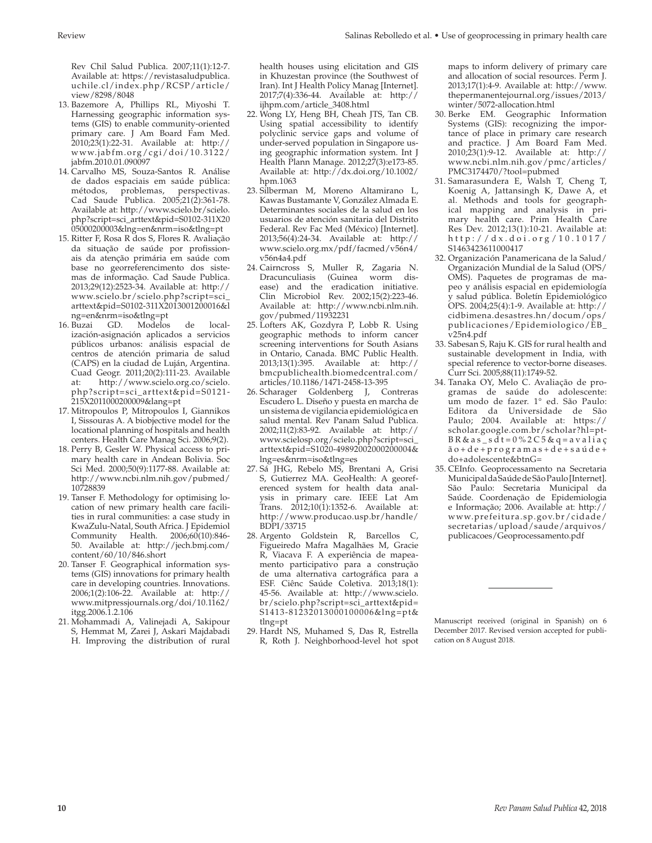Rev Chil Salud Publica. 2007;11(1):12-7. Available at: [https://revistasaludpublica.](https://revistasaludpublica.uchile.cl/index.php/RCSP/article/view/8298/8048) [uchile.cl/index.php/RCSP/article/](https://revistasaludpublica.uchile.cl/index.php/RCSP/article/view/8298/8048) [view/8298/8048](https://revistasaludpublica.uchile.cl/index.php/RCSP/article/view/8298/8048)

- 13. Bazemore A, Phillips RL, Miyoshi T. Harnessing geographic information systems (GIS) to enable community-oriented primary care. J Am Board Fam Med. 2010;23(1):22-31. Available at: [http://](http://www.jabfm.org/cgi/doi/10.3122/jabfm.2010.01.090097) [www.jabfm.org/cgi/doi/10.3122/](http://www.jabfm.org/cgi/doi/10.3122/jabfm.2010.01.090097) [jabfm.2010.01.090097](http://www.jabfm.org/cgi/doi/10.3122/jabfm.2010.01.090097)
- 14. Carvalho MS, Souza-Santos R. Análise de dados espaciais em saúde pública: métodos, problemas, perspectivas. Cad Saude Publica. 2005;21(2):361-78. Available at: [http://www.scielo.br/scielo.](http://www.scielo.br/scielo.php?script=sci_arttext&pid=S0102-311X2005000200003&lng=en&nrm=iso&tlng=pt) [php?script=sci\\_arttext&pid=S0102-311X20](http://www.scielo.br/scielo.php?script=sci_arttext&pid=S0102-311X2005000200003&lng=en&nrm=iso&tlng=pt) [05000200003&lng=en&nrm=iso&tlng=pt](http://www.scielo.br/scielo.php?script=sci_arttext&pid=S0102-311X2005000200003&lng=en&nrm=iso&tlng=pt)
- 15. Ritter F, Rosa R dos S, Flores R. Avaliação da situação de saúde por profissionais da atenção primária em saúde com base no georreferencimento dos sistemas de informação. Cad Saude Publica. 2013;29(12):2523-34. Available at: [http://](http://www.scielo.br/scielo.php?script=sci_arttext&pid=S0102-311X2013001200016&lng=en&nrm=iso&tlng=pt) [www.scielo.br/scielo.php?script=sci\\_](http://www.scielo.br/scielo.php?script=sci_arttext&pid=S0102-311X2013001200016&lng=en&nrm=iso&tlng=pt) [arttext&pid=S0102-311X2013001200016&l](http://www.scielo.br/scielo.php?script=sci_arttext&pid=S0102-311X2013001200016&lng=en&nrm=iso&tlng=pt) [ng=en&nrm=iso&tlng=pt](http://www.scielo.br/scielo.php?script=sci_arttext&pid=S0102-311X2013001200016&lng=en&nrm=iso&tlng=pt)
- 16. Buzai GD. Modelos de localización-asignación aplicados a servicios públicos urbanos: análisis espacial de centros de atención primaria de salud (CAPS) en la ciudad de Luján, Argentina. Cuad Geogr. 2011;20(2):111-23. Available at: [http://www.scielo.org.co/scielo.](http://www.scielo.org.co/scielo.php?script=sci_arttext&pid=S0121-215X2011000200009&lang=pt) [php?script=sci\\_arttext&pid=S0121-](http://www.scielo.org.co/scielo.php?script=sci_arttext&pid=S0121-215X2011000200009&lang=pt) [215X2011000200009&lang=pt](http://www.scielo.org.co/scielo.php?script=sci_arttext&pid=S0121-215X2011000200009&lang=pt)
- 17. Mitropoulos P, Mitropoulos I, Giannikos I, Sissouras A. A biobjective model for the locational planning of hospitals and health centers. Health Care Manag Sci. 2006;9(2).
- 18. Perry B, Gesler W. Physical access to primary health care in Andean Bolivia. Soc Sci Med. 2000;50(9):1177-88. Available at: [http://www.ncbi.nlm.nih.gov/pubmed/](http://www.ncbi.nlm.nih.gov/pubmed/10728839) [10728839](http://www.ncbi.nlm.nih.gov/pubmed/10728839)
- 19. Tanser F. Methodology for optimising location of new primary health care facilities in rural communities: a case study in KwaZulu-Natal, South Africa. J Epidemiol Community Health. 2006;60(10):846- 50. Available at: [http://jech.bmj.com/](http://jech.bmj.com/content/60/10/846.short) [content/60/10/846.short](http://jech.bmj.com/content/60/10/846.short)
- 20. Tanser F. Geographical information systems (GIS) innovations for primary health care in developing countries. Innovations. 2006;1(2):106-22. Available at: [http://](http://www.mitpressjournals.org/doi/10.1162/itgg.2006.1.2.106) [www.mitpressjournals.org/doi/10.1162/](http://www.mitpressjournals.org/doi/10.1162/itgg.2006.1.2.106) [itgg.2006.1.2.106](http://www.mitpressjournals.org/doi/10.1162/itgg.2006.1.2.106)
- 21. Mohammadi A, Valinejadi A, Sakipour S, Hemmat M, Zarei J, Askari Majdabadi H. Improving the distribution of rural

health houses using elicitation and GIS in Khuzestan province (the Southwest of Iran). Int J Health Policy Manag [Internet]. 2017;7(4):336-44. Available at: [http://](http://ijhpm.com/article_3408.html) [ijhpm.com/article\\_3408.html](http://ijhpm.com/article_3408.html)

- 22. Wong LY, Heng BH, Cheah JTS, Tan CB. Using spatial accessibility to identify polyclinic service gaps and volume of under-served population in Singapore using geographic information system. Int J Health Plann Manage. 2012;27(3):e173-85. Available at: [http://dx.doi.org/10.1002/](http://dx.doi.org/10.1002/hpm.1063) [hpm.1063](http://dx.doi.org/10.1002/hpm.1063)
- 23. Silberman M, Moreno Altamirano L, Kawas Bustamante V, González Almada E. Determinantes sociales de la salud en los usuarios de atención sanitaria del Distrito Federal. Rev Fac Med (México) [Internet]. 2013;56(4):24-34. Available at: [http://](http://www.scielo.org.mx/pdf/facmed/v56n4/v56n4a4.pdf) [www.scielo.org.mx/pdf/facmed/v56n4/](http://www.scielo.org.mx/pdf/facmed/v56n4/v56n4a4.pdf) [v56n4a4.pdf](http://www.scielo.org.mx/pdf/facmed/v56n4/v56n4a4.pdf)
- 24. Cairncross S, Muller R, Zagaria N. Dracunculiasis (Guinea worm disease) and the eradication initiative. Clin Microbiol Rev. 2002;15(2):223-46. Available at: [http://www.ncbi.nlm.nih.](http://www.ncbi.nlm.nih.gov/pubmed/11932231) [gov/pubmed/11932231](http://www.ncbi.nlm.nih.gov/pubmed/11932231)
- 25. Lofters AK, Gozdyra P, Lobb R. Using geographic methods to inform cancer screening interventions for South Asians in Ontario, Canada. BMC Public Health. 2013;13(1):395. Available at: [http://](http://bmcpublichealth.biomedcentral.com/articles/10.1186/1471-2458-13-395) [bmcpublichealth.biomedcentral.com/](http://bmcpublichealth.biomedcentral.com/articles/10.1186/1471-2458-13-395) [articles/10.1186/1471-2458-13-395](http://bmcpublichealth.biomedcentral.com/articles/10.1186/1471-2458-13-395)
- 26. Scharager Goldenberg J, Contreras Escudero L. Diseño y puesta en marcha de un sistema de vigilancia epidemiológica en salud mental. Rev Panam Salud Publica. 2002;11(2):83-92. Available at: [http://](http://www.scielosp.org/scielo.php?script=sci_arttext&pid=S1020-49892002000200004&lng=es&nrm=iso&tlng=es) [www.scielosp.org/scielo.php?script=sci\\_](http://www.scielosp.org/scielo.php?script=sci_arttext&pid=S1020-49892002000200004&lng=es&nrm=iso&tlng=es) [arttext&pid=S1020-49892002000200004&](http://www.scielosp.org/scielo.php?script=sci_arttext&pid=S1020-49892002000200004&lng=es&nrm=iso&tlng=es) [lng=es&nrm=iso&tlng=es](http://www.scielosp.org/scielo.php?script=sci_arttext&pid=S1020-49892002000200004&lng=es&nrm=iso&tlng=es)
- 27. Sá JHG, Rebelo MS, Brentani A, Grisi S, Gutierrez MA. GeoHealth: A georeferenced system for health data analysis in primary care. IEEE Lat Am Trans. 2012;10(1):1352-6. Available at: [http://www.producao.usp.br/handle/](http://www.producao.usp.br/handle/BDPI/33715) [BDPI/33715](http://www.producao.usp.br/handle/BDPI/33715)
- 28. Argento Goldstein R, Barcellos C, Figueiredo Mafra Magalhães M, Gracie R, Viacava F. A experiência de mapeamento participativo para a construção de uma alternativa cartográfica para a ESF. Ciênc Saúde Coletiva. 2013;18(1): 45-56. Available at: [http://www.scielo.](http://www.scielo.br/scielo.php?script=sci_arttext&pid=S1413-81232013000100006&lng=pt&tlng=pt) [br/scielo.php?script=sci\\_arttext&pid=](http://www.scielo.br/scielo.php?script=sci_arttext&pid=S1413-81232013000100006&lng=pt&tlng=pt) [S1413-81232013000100006&lng=pt&](http://www.scielo.br/scielo.php?script=sci_arttext&pid=S1413-81232013000100006&lng=pt&tlng=pt) [tlng=pt](http://www.scielo.br/scielo.php?script=sci_arttext&pid=S1413-81232013000100006&lng=pt&tlng=pt)
- 29. Hardt NS, Muhamed S, Das R, Estrella R, Roth J. Neighborhood-level hot spot

maps to inform delivery of primary care and allocation of social resources. Perm J. 2013;17(1):4-9. Available at: [http://www.](http://www.thepermanentejournal.org/issues/2013/winter/5072-allocation.html) [thepermanentejournal.org/issues/2013/](http://www.thepermanentejournal.org/issues/2013/winter/5072-allocation.html) [winter/5072-allocation.html](http://www.thepermanentejournal.org/issues/2013/winter/5072-allocation.html)

- 30. Berke EM. Geographic Information Systems (GIS): recognizing the importance of place in primary care research and practice. J Am Board Fam Med. 2010;23(1):9-12. Available at: [http://](http://www.ncbi.nlm.nih.gov/pmc/articles/PMC3174470/?tool=pubmed) [www.ncbi.nlm.nih.gov/pmc/articles/](http://www.ncbi.nlm.nih.gov/pmc/articles/PMC3174470/?tool=pubmed) [PMC3174470/?tool=pubmed](http://www.ncbi.nlm.nih.gov/pmc/articles/PMC3174470/?tool=pubmed)
- 31. Samarasundera E, Walsh T, Cheng T, Koenig A, Jattansingh K, Dawe A, et al. Methods and tools for geographical mapping and analysis in primary health care. Prim Health Care Res Dev. 2012;13(1):10-21. Available at: [http://dx.doi.org/10.1017/](http://dx.doi.org/10.1017/S1463423611000417) [S1463423611000417](http://dx.doi.org/10.1017/S1463423611000417)
- 32. Organización Panamericana de la Salud/ Organización Mundial de la Salud (OPS/ OMS). Paquetes de programas de mapeo y análisis espacial en epidemiología y salud pública. Boletín Epidemiológico OPS. 2004;25(4):1-9. Available at: [http://](http://cidbimena.desastres.hn/docum/ops/publicaciones/Epidemiologico/EB_v25n4.pdf) [cidbimena.desastres.hn/docum/ops/](http://cidbimena.desastres.hn/docum/ops/publicaciones/Epidemiologico/EB_v25n4.pdf) [publicaciones/Epidemiologico/EB\\_](http://cidbimena.desastres.hn/docum/ops/publicaciones/Epidemiologico/EB_v25n4.pdf) [v25n4.pdf](http://cidbimena.desastres.hn/docum/ops/publicaciones/Epidemiologico/EB_v25n4.pdf)
- 33. Sabesan S, Raju K. GIS for rural health and sustainable development in India, with special reference to vector-borne diseases. Curr Sci. 2005;88(11):1749-52.
- 34. Tanaka OY, Melo C. Avaliação de programas de saúde do adolescente: um modo de fazer. 1° ed. São Paulo: Editora da Universidade de São Paulo; 2004. Available at: [https://](https://scholar.google.com.br/scholar?hl=pt-BR&as_sdt=0%2C5&q=avalia��o+de+programas+de+sa�de+do+adolescente&btnG=) [scholar.google.com.br/scholar?hl=pt-](https://scholar.google.com.br/scholar?hl=pt-BR&as_sdt=0%2C5&q=avalia��o+de+programas+de+sa�de+do+adolescente&btnG=) $B R & a s_s d t = 0 % 2 C 5 & q = a v a li a ç$ [ão+de+programas+de+saúde+](https://scholar.google.com.br/scholar?hl=pt-BR&as_sdt=0%2C5&q=avalia��o+de+programas+de+sa�de+do+adolescente&btnG=) [do+adolescente&btnG=](https://scholar.google.com.br/scholar?hl=pt-BR&as_sdt=0%2C5&q=avalia��o+de+programas+de+sa�de+do+adolescente&btnG=)
- 35. CEInfo. Geoprocessamento na Secretaria Municipal da Saúde de São Paulo [Internet]. São Paulo: Secretaria Municipal da Saúde. Coordenação de Epidemiologia e Informação; 2006. Available at: [http://](http://www.prefeitura.sp.gov.br/cidade/secretarias/upload/saude/arquivos/publicacoes/Geoprocessamento.pdf) [www.prefeitura.sp.gov.br/cidade/](http://www.prefeitura.sp.gov.br/cidade/secretarias/upload/saude/arquivos/publicacoes/Geoprocessamento.pdf) [secretarias/upload/saude/arquivos/](http://www.prefeitura.sp.gov.br/cidade/secretarias/upload/saude/arquivos/publicacoes/Geoprocessamento.pdf) [publicacoes/Geoprocessamento.pdf](http://www.prefeitura.sp.gov.br/cidade/secretarias/upload/saude/arquivos/publicacoes/Geoprocessamento.pdf)

Manuscript received (original in Spanish) on 6 December 2017. Revised version accepted for publication on 8 August 2018.